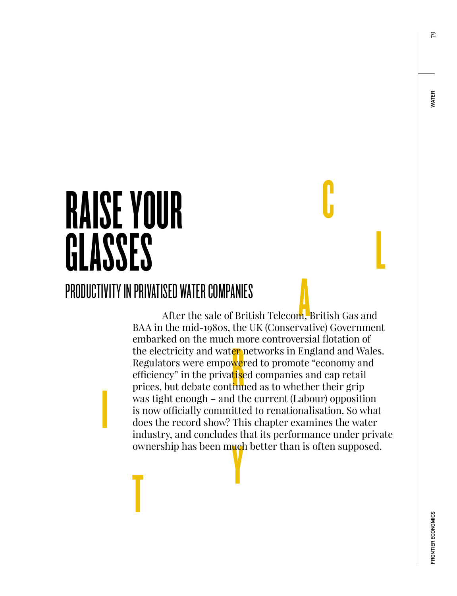# RAISE YOUR GLASSES

**International Contract Contract Contract Contract Contract Contract Contract Contract Contract Contract Contract Contract Contract Contract Contract Contract Contract Contract Contract Contract Contract Contract Contract** 

## PRODUCTIVITY IN PRIVATISED WATER COMPANIES

SED WATER COMPANIES<br>After the sale of British Telecom, British Gas and r m<br><mark>er ve</mark><br>tise<br>im ownership has been much better than is often supposed. BAA in the mid-1980s, the UK (Conservative) Government embarked on the much more controversial flotation of the electricity and water networks in England and Wales. Regulators were empo<mark>we</mark>red to promote "economy and efficiency" in the privatised companies and cap retail prices, but debate continued as to whether their grip was tight enough – and the current (Labour) opposition is now officially committed to renationalisation. So what does the record show? This chapter examines the water industry, and concludes that its performance under private

C

L

**WATER**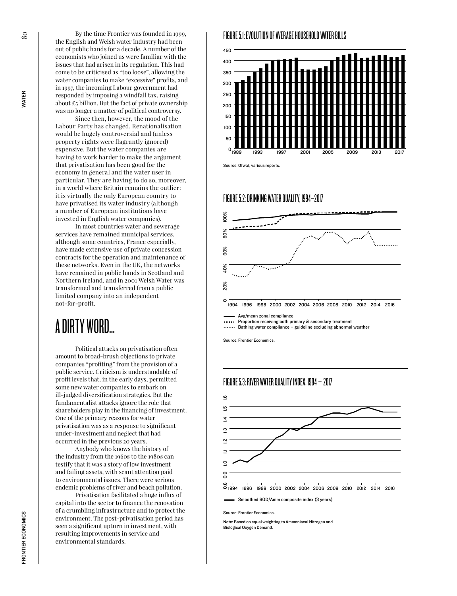By the time Frontier was founded in 1999, the English and Welsh water industry had been out of public hands for a decade. A number of the economists who joined us were familiar with the issues that had arisen in its regulation. This had come to be criticised as "too loose", allowing the water companies to make "excessive" profits, and in 1997, the incoming Labour government had responded by imposing a windfall tax, raising about  $\text{\pounds}_5$  billion. But the fact of private ownership was no longer a matter of political controversy.

Since then, however, the mood of the Labour Party has changed. Renationalisation would be hugely controversial and (unless property rights were flagrantly ignored) expensive. But the water companies are having to work harder to make the argument that privatisation has been good for the economy in general and the water user in particular. They are having to do so, moreover, in a world where Britain remains the outlier: it is virtually the only European country to have privatised its water industry (although a number of European institutions have invested in English water companies).

In most countries water and sewerage services have remained municipal services, although some countries, France especially, have made extensive use of private concession contracts for the operation and maintenance of these networks. Even in the UK, the networks have remained in public hands in Scotland and Northern Ireland, and in 2001 Welsh Water was transformed and transferred from a public limited company into an independent not-for-profit.

## A DIRTY WORD…

Political attacks on privatisation often amount to broad-brush objections to private companies "profiting" from the provision of a public service. Criticism is understandable of profit levels that, in the early days, permitted some new water companies to embark on ill-judged diversification strategies. But the fundamentalist attacks ignore the role that shareholders play in the financing of investment. One of the primary reasons for water privatisation was as a response to significant under-investment and neglect that had occurred in the previous 20 years.

Anybody who knows the history of the industry from the 1960s to the 1980s can testify that it was a story of low investment and failing assets, with scant attention paid to environmental issues. There were serious endemic problems of river and beach pollution.

Privatisation facilitated a huge influx of capital into the sector to finance the renovation of a crumbling infrastructure and to protect the environment. The post-privatisation period has seen a significant upturn in investment, with resulting improvements in service and environmental standards.

#### FIGURE 5.1: EVOLUTION OF AVERAGE HOUSEHOLD WATER BILLS



Source: Ofwat, various reports.

#### FIGURE 5.2: DRINKING WATER QUALITY, 1994–2017



Avg/mean zonal compliance

Proportion receiving both primary & secondary treatment

...... Bathing water compliance - guideline excluding abnormal weather

Source: Frontier Economics.

#### FIGURE 5.3: RIVER WATER QUALITY INDEX, 1994 – 2017



Source: Frontier Economics.

Note: Based on equal weighting to Ammoniacal Nitrogen and Biological Oxygen Demand.

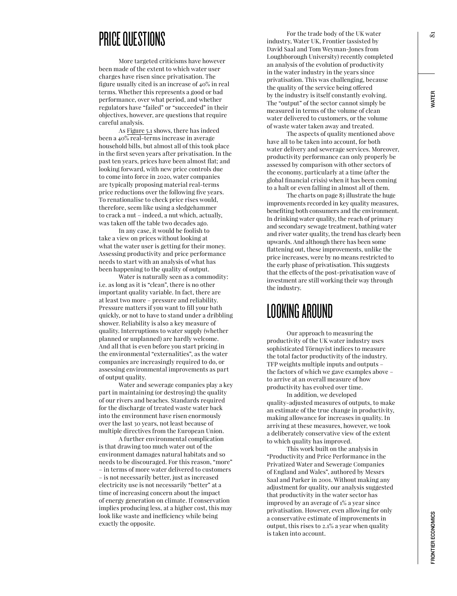## PRICE QUESTIONS

More targeted criticisms have however been made of the extent to which water user charges have risen since privatisation. The figure usually cited is an increase of 40% in real terms. Whether this represents a good or bad performance, over what period, and whether regulators have "failed" or "succeeded" in their objectives, however, are questions that require careful analysis.

As Figure 5.1 shows, there has indeed been a  $40\sqrt[6]{\text{real-terms}}$  increase in average household bills, but almost all of this took place in the first seven years after privatisation. In the past ten years, prices have been almost flat; and looking forward, with new price controls due to come into force in 2020, water companies are typically proposing material real-terms price reductions over the following five years. To renationalise to check price rises would, therefore, seem like using a sledgehammer to crack a nut – indeed, a nut which, actually, was taken off the table two decades ago.

In any case, it would be foolish to take a view on prices without looking at what the water user is getting for their money. Assessing productivity and price performance needs to start with an analysis of what has been happening to the quality of output.

Water is naturally seen as a commodity: i.e. as long as it is "clean", there is no other important quality variable. In fact, there are at least two more – pressure and reliability. Pressure matters if you want to fill your bath quickly, or not to have to stand under a dribbling shower. Reliability is also a key measure of quality. Interruptions to water supply (whether planned or unplanned) are hardly welcome. And all that is even before you start pricing in the environmental "externalities", as the water companies are increasingly required to do, or assessing environmental improvements as part of output quality.

Water and sewerage companies play a key part in maintaining (or destroying) the quality of our rivers and beaches. Standards required for the discharge of treated waste water back into the environment have risen enormously over the last 30 years, not least because of multiple directives from the European Union.

A further environmental complication is that drawing too much water out of the environment damages natural habitats and so needs to be discouraged. For this reason, "more" – in terms of more water delivered to customers – is not necessarily better, just as increased electricity use is not necessarily "better" at a time of increasing concern about the impact of energy generation on climate. If conservation implies producing less, at a higher cost, this may look like waste and inefficiency while being exactly the opposite.

For the trade body of the UK water industry, Water UK, Frontier (assisted by David Saal and Tom Weyman-Jones from Loughborough University) recently completed an analysis of the evolution of productivity in the water industry in the years since privatisation. This was challenging, because the quality of the service being offered by the industry is itself constantly evolving. The "output" of the sector cannot simply be measured in terms of the volume of clean water delivered to customers, or the volume of waste water taken away and treated.

The aspects of quality mentioned above have all to be taken into account, for both water delivery and sewerage services. Moreover, productivity performance can only properly be assessed by comparison with other sectors of the economy, particularly at a time (after the global financial crisis) when it has been coming to a halt or even falling in almost all of them.

The charts on page 83 illustrate the huge improvements recorded in key quality measures, benefiting both consumers and the environment. In drinking water quality, the reach of primary and secondary sewage treatment, bathing water and river water quality, the trend has clearly been upwards. And although there has been some flattening out, these improvements, unlike the price increases, were by no means restricted to the early phase of privatisation. This suggests that the effects of the post-privatisation wave of investment are still working their way through the industry.

## LOOKING AROUND

Our approach to measuring the productivity of the UK water industry uses sophisticated Törnqvist indices to measure the total factor productivity of the industry. TFP weights multiple inputs and outputs – the factors of which we gave examples above – to arrive at an overall measure of how productivity has evolved over time.

In addition, we developed quality-adjusted measures of outputs, to make an estimate of the true change in productivity, making allowance for increases in quality. In arriving at these measures, however, we took a deliberately conservative view of the extent to which quality has improved.

This work built on the analysis in "Productivity and Price Performance in the Privatized Water and Sewerage Companies of England and Wales", authored by Messrs Saal and Parker in 2001. Without making any adjustment for quality, our analysis suggested that productivity in the water sector has improved by an average of 1% a year since privatisation. However, even allowing for only a conservative estimate of improvements in output, this rises to 2.1% a year when quality is taken into account.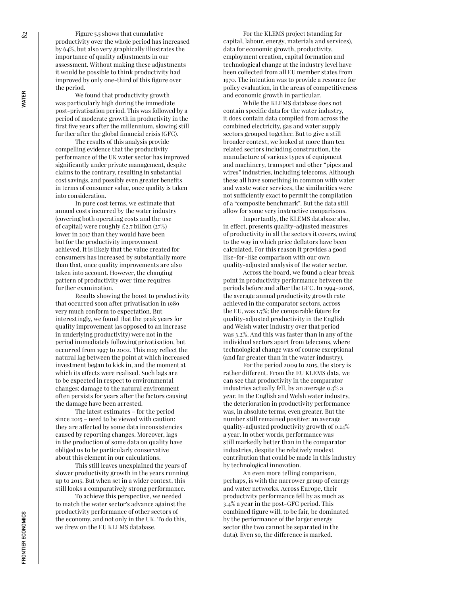Figure 5.5 shows that cumulative productivity over the whole period has increased by 64%, but also very graphically illustrates the importance of quality adjustments in our assessment. Without making these adjustments it would be possible to think productivity had improved by only one-third of this figure over the period.

We found that productivity growth was particularly high during the immediate post-privatisation period. This was followed by a period of moderate growth in productivity in the first five years after the millennium, slowing still further after the global financial crisis (GFC).

The results of this analysis provide compelling evidence that the productivity performance of the UK water sector has improved significantly under private management, despite claims to the contrary, resulting in substantial cost savings, and possibly even greater benefits in terms of consumer value, once quality is taken into consideration.

In pure cost terms, we estimate that annual costs incurred by the water industry (covering both operating costs and the use of capital) were roughly £2.7 billion  $(27%)$ lower in 2017 than they would have been but for the productivity improvement achieved. It is likely that the value created for consumers has increased by substantially more than that, once quality improvements are also taken into account. However, the changing pattern of productivity over time requires further examination.

Results showing the boost to productivity that occurred soon after privatisation in 1989 very much conform to expectation. But interestingly, we found that the peak years for quality improvement (as opposed to an increase in underlying productivity) were not in the period immediately following privatisation, but occurred from 1997 to 2002. This may reflect the natural lag between the point at which increased investment began to kick in, and the moment at which its effects were realised. Such lags are to be expected in respect to environmental changes: damage to the natural environment often persists for years after the factors causing the damage have been arrested.

The latest estimates – for the period since 2015 – need to be viewed with caution: they are affected by some data inconsistencies caused by reporting changes. Moreover, lags in the production of some data on quality have obliged us to be particularly conservative about this element in our calculations.

This still leaves unexplained the years of slower productivity growth in the years running up to 2015. But when set in a wider context, this still looks a comparatively strong performance.

To achieve this perspective, we needed to match the water sector's advance against the productivity performance of other sectors of the economy, and not only in the UK. To do this, we drew on the EU KLEMS database.

For the KLEMS project (standing for capital, labour, energy, materials and services), data for economic growth, productivity, employment creation, capital formation and technological change at the industry level have been collected from all EU member states from 1970. The intention was to provide a resource for policy evaluation, in the areas of competitiveness and economic growth in particular.

While the KLEMS database does not contain specific data for the water industry, it does contain data compiled from across the combined electricity, gas and water supply sectors grouped together. But to give a still broader context, we looked at more than ten related sectors including construction, the manufacture of various types of equipment and machinery, transport and other "pipes and wires" industries, including telecoms. Although these all have something in common with water and waste water services, the similarities were not sufficiently exact to permit the compilation of a "composite benchmark". But the data still allow for some very instructive comparisons.

Importantly, the KLEMS database also, in effect, presents quality-adjusted measures of productivity in all the sectors it covers, owing to the way in which price deflators have been calculated. For this reason it provides a good like-for-like comparison with our own quality-adjusted analysis of the water sector.

Across the board, we found a clear break point in productivity performance between the periods before and after the GFC. In 1994–2008, the average annual productivity growth rate achieved in the comparator sectors, across the EU, was 1.7%; the comparable figure for quality-adjusted productivity in the English and Welsh water industry over that period was 3.2%. And this was faster than in any of the individual sectors apart from telecoms, where technological change was of course exceptional (and far greater than in the water industry).

For the period 2009 to 2015, the story is rather different. From the EU KLEMS data, we can see that productivity in the comparator industries actually fell, by an average 0.3% a year. In the English and Welsh water industry, the deterioration in productivity performance was, in absolute terms, even greater. But the number still remained positive: an average quality-adjusted productivity growth of 0.14% a year. In other words, performance was still markedly better than in the comparator industries, despite the relatively modest contribution that could be made in this industry by technological innovation.

An even more telling comparison, perhaps, is with the narrower group of energy and water networks. Across Europe, their productivity performance fell by as much as 3.4% a year in the post-GFC period. This combined figure will, to be fair, be dominated by the performance of the larger energy sector (the two cannot be separated in the data). Even so, the difference is marked.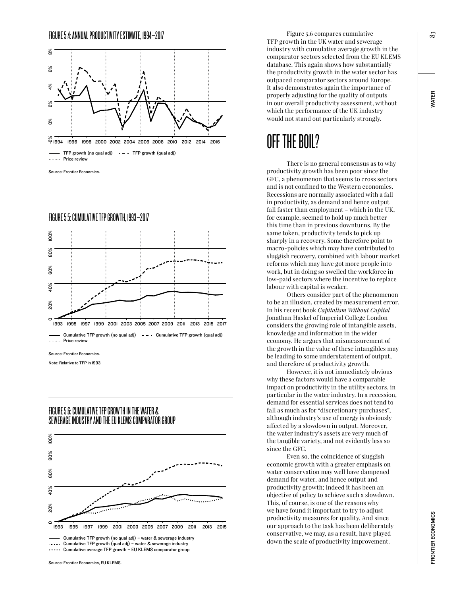

Source: Frontier Economics.



Cumulative TFP growth (no qual adj) Cumulative TFP growth (qual adj) ....... Price review

Source: Frontier Economics.

Note: Relative to TFP in 1993.

#### FIGURE 5.6: CUMULATIVE TFP GROWTH IN THE WATER & SEWERAGE INDUSTRY AND THE EU KLEMS COMPARATOR GROUP



Figure 5.6 compares cumulative TFP growth in the UK water and sewerage industry with cumulative average growth in the comparator sectors selected from the EU KLEMS database. This again shows how substantially the productivity growth in the water sector has outpaced comparator sectors around Europe. It also demonstrates again the importance of properly adjusting for the quality of outputs in our overall productivity assessment, without which the performance of the UK industry would not stand out particularly strongly.

# OFF THE BOIL?

There is no general consensus as to why productivity growth has been poor since the GFC, a phenomenon that seems to cross sectors and is not confined to the Western economies. Recessions are normally associated with a fall in productivity, as demand and hence output fall faster than employment – which in the UK, for example, seemed to hold up much better this time than in previous downturns. By the same token, productivity tends to pick up sharply in a recovery. Some therefore point to macro-policies which may have contributed to sluggish recovery, combined with labour market reforms which may have got more people into work, but in doing so swelled the workforce in low-paid sectors where the incentive to replace labour with capital is weaker.

Others consider part of the phenomenon to be an illusion, created by measurement error. In his recent book *Capitalism Without Capital* Jonathan Haskel of Imperial College London considers the growing role of intangible assets, knowledge and information in the wider economy. He argues that mismeasurement of the growth in the value of these intangibles may be leading to some understatement of output, and therefore of productivity growth.

However, it is not immediately obvious why these factors would have a comparable impact on productivity in the utility sectors, in particular in the water industry. In a recession, demand for essential services does not tend to fall as much as for "discretionary purchases", although industry's use of energy is obviously affected by a slowdown in output. Moreover, the water industry's assets are very much of the tangible variety, and not evidently less so since the GFC.

Even so, the coincidence of sluggish economic growth with a greater emphasis on water conservation may well have dampened demand for water, and hence output and productivity growth; indeed it has been an objective of policy to achieve such a slowdown. This, of course, is one of the reasons why we have found it important to try to adjust productivity measures for quality. And since our approach to the task has been deliberately conservative, we may, as a result, have played down the scale of productivity improvement.